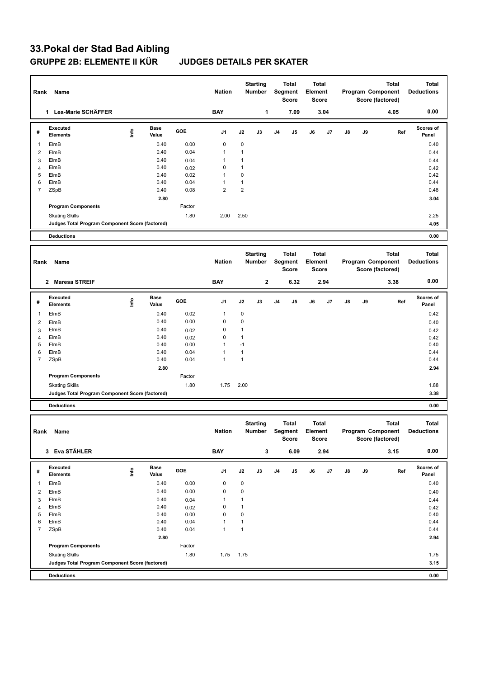## **33.Pokal der Stad Bad Aibling GRUPPE 2B: ELEMENTE II KÜR JUDGES DETAILS PER SKATER**

| Rank<br>Name   |                                                                          |                                  |                      | <b>Nation</b> |                              | <b>Starting</b><br>Number        |             | <b>Total</b><br>Segment<br>Score        |      | Total<br>Element<br><b>Score</b> |      | <b>Total</b><br>Program Component<br>Score (factored) |    | <b>Total</b><br><b>Deductions</b> |                                   |
|----------------|--------------------------------------------------------------------------|----------------------------------|----------------------|---------------|------------------------------|----------------------------------|-------------|-----------------------------------------|------|----------------------------------|------|-------------------------------------------------------|----|-----------------------------------|-----------------------------------|
|                | 1 Lea-Marie SCHÄFFER                                                     |                                  |                      |               | <b>BAY</b>                   |                                  | 1           |                                         | 7.09 |                                  | 3.04 |                                                       |    | 4.05                              | 0.00                              |
| #              | Executed<br><b>Elements</b>                                              | Info                             | <b>Base</b><br>Value | GOE           | J1                           | J2                               | J3          | J4                                      | J5   | J6                               | J7   | J8                                                    | J9 | Ref                               | Scores of<br>Panel                |
| 1              | ElmB                                                                     |                                  | 0.40                 | 0.00          | 0                            | $\mathbf 0$                      |             |                                         |      |                                  |      |                                                       |    |                                   | 0.40                              |
| 2              | ElmB                                                                     |                                  | 0.40                 | 0.04          | 1                            | $\mathbf{1}$                     |             |                                         |      |                                  |      |                                                       |    |                                   | 0.44                              |
| 3              | ElmB                                                                     |                                  | 0.40                 | 0.04          | $\mathbf{1}$                 | $\mathbf{1}$                     |             |                                         |      |                                  |      |                                                       |    |                                   | 0.44                              |
| $\overline{4}$ | ElmB                                                                     |                                  | 0.40                 | 0.02          | 0                            | $\mathbf{1}$                     |             |                                         |      |                                  |      |                                                       |    |                                   | 0.42                              |
| 5<br>6         | ElmB<br>ElmB                                                             |                                  | 0.40<br>0.40         | 0.02<br>0.04  | $\mathbf{1}$<br>$\mathbf{1}$ | $\mathbf 0$<br>$\mathbf{1}$      |             |                                         |      |                                  |      |                                                       |    |                                   | 0.42<br>0.44                      |
| $\overline{7}$ | ZSpB                                                                     |                                  | 0.40                 | 0.08          | $\overline{2}$               | $\overline{2}$                   |             |                                         |      |                                  |      |                                                       |    |                                   | 0.48                              |
|                |                                                                          |                                  | 2.80                 |               |                              |                                  |             |                                         |      |                                  |      |                                                       |    |                                   | 3.04                              |
|                | <b>Program Components</b>                                                |                                  |                      | Factor        |                              |                                  |             |                                         |      |                                  |      |                                                       |    |                                   |                                   |
|                | <b>Skating Skills</b>                                                    |                                  |                      | 1.80          | 2.00                         | 2.50                             |             |                                         |      |                                  |      |                                                       |    |                                   | 2.25                              |
|                | Judges Total Program Component Score (factored)                          |                                  |                      |               |                              |                                  |             |                                         |      |                                  |      |                                                       |    |                                   | 4.05                              |
|                | <b>Deductions</b>                                                        |                                  |                      |               |                              |                                  |             |                                         |      |                                  |      |                                                       |    |                                   | 0.00                              |
|                |                                                                          |                                  |                      |               |                              |                                  |             |                                         |      |                                  |      |                                                       |    |                                   |                                   |
| Rank<br>Name   |                                                                          |                                  |                      |               | <b>Nation</b>                | <b>Starting</b><br><b>Number</b> |             | <b>Total</b><br>Segment<br><b>Score</b> |      | Total<br>Element<br>Score        |      | <b>Total</b><br>Program Component<br>Score (factored) |    |                                   | <b>Total</b><br><b>Deductions</b> |
|                | 2 Maresa STREIF                                                          |                                  |                      |               | <b>BAY</b>                   |                                  | $\mathbf 2$ |                                         | 6.32 |                                  | 2.94 |                                                       |    | 3.38                              | 0.00                              |
| #              | Executed<br><b>Elements</b>                                              | ۴                                | <b>Base</b><br>Value | GOE           | J1                           | J2                               | J3          | J4                                      | J5   | J6                               | J7   | J8                                                    | J9 | Ref                               | <b>Scores of</b><br>Panel         |
| 1              | ElmB                                                                     |                                  | 0.40                 | 0.02          | 1                            | $\mathbf 0$                      |             |                                         |      |                                  |      |                                                       |    |                                   | 0.42                              |
| $\overline{2}$ | ElmB                                                                     |                                  | 0.40                 | 0.00          | 0                            | $\mathbf 0$                      |             |                                         |      |                                  |      |                                                       |    |                                   | 0.40                              |
| 3              | ElmB                                                                     |                                  | 0.40                 | 0.02          | 0                            | $\mathbf{1}$                     |             |                                         |      |                                  |      |                                                       |    |                                   | 0.42                              |
| 4              | ElmB                                                                     |                                  | 0.40                 | 0.02          | 0                            | $\mathbf{1}$                     |             |                                         |      |                                  |      |                                                       |    |                                   | 0.42                              |
| 5<br>6         | ElmB<br>ElmB                                                             |                                  | 0.40<br>0.40         | 0.00<br>0.04  | $\mathbf{1}$<br>$\mathbf{1}$ | $-1$<br>$\mathbf{1}$             |             |                                         |      |                                  |      |                                                       |    |                                   | 0.40<br>0.44                      |
| $\overline{7}$ | ZSpB                                                                     |                                  | 0.40                 | 0.04          | 1                            | $\mathbf{1}$                     |             |                                         |      |                                  |      |                                                       |    |                                   | 0.44                              |
|                |                                                                          |                                  | 2.80                 |               |                              |                                  |             |                                         |      |                                  |      |                                                       |    |                                   | 2.94                              |
|                | <b>Program Components</b>                                                |                                  |                      | Factor        |                              |                                  |             |                                         |      |                                  |      |                                                       |    |                                   |                                   |
|                | <b>Skating Skills</b>                                                    |                                  |                      | 1.80          | 1.75                         | 2.00                             |             |                                         |      |                                  |      |                                                       |    |                                   | 1.88                              |
|                | Judges Total Program Component Score (factored)                          |                                  |                      |               |                              |                                  |             |                                         |      |                                  |      |                                                       |    |                                   | 3.38                              |
|                | <b>Deductions</b>                                                        |                                  |                      |               |                              |                                  |             |                                         |      |                                  |      |                                                       |    |                                   | 0.00                              |
|                |                                                                          |                                  |                      |               |                              |                                  |             |                                         |      |                                  |      |                                                       |    |                                   |                                   |
| Rank<br>Name   |                                                                          |                                  |                      |               | <b>Nation</b>                | <b>Starting</b><br><b>Number</b> |             | <b>Total</b><br>Segment<br>Score        |      | <b>Total</b><br>Element<br>Score |      | Program Component<br>Score (factored)                 |    | <b>Total</b>                      | <b>Total</b><br><b>Deductions</b> |
|                | 3 Eva STÄHLER                                                            |                                  |                      |               | <b>BAY</b>                   |                                  | 3           |                                         | 6.09 |                                  | 2.94 |                                                       |    | 3.15                              | 0.00                              |
| #              | <b>Executed</b><br><b>Elements</b>                                       | $\mathop{\mathsf{Irr}}\nolimits$ | <b>Base</b><br>Value | GOE           | J1                           | J2                               | J3          | J <sub>4</sub>                          | J5   | J6                               | J7   | $\mathsf{J}8$                                         | J9 | Ref                               | Scores of<br>Panel                |
| 1              | ElmB                                                                     |                                  | 0.40                 | 0.00          | 0                            | 0                                |             |                                         |      |                                  |      |                                                       |    |                                   | 0.40                              |
| 2              | ElmB                                                                     |                                  | 0.40                 | 0.00          | 0                            | $\mathbf 0$                      |             |                                         |      |                                  |      |                                                       |    |                                   | 0.40                              |
| 3              | ElmB                                                                     |                                  | 0.40                 | 0.04          | $\mathbf{1}$                 | $\mathbf{1}$                     |             |                                         |      |                                  |      |                                                       |    |                                   | 0.44                              |
| $\overline{4}$ | ElmB                                                                     |                                  | 0.40                 | 0.02          | 0                            | $\mathbf{1}$                     |             |                                         |      |                                  |      |                                                       |    |                                   | 0.42                              |
| 5              | ElmB                                                                     |                                  | 0.40                 | 0.00          | 0                            | $\mathbf 0$                      |             |                                         |      |                                  |      |                                                       |    |                                   | 0.40                              |
| 6              | ElmB                                                                     |                                  | 0.40                 | 0.04          | $\mathbf{1}$                 | $\mathbf{1}$                     |             |                                         |      |                                  |      |                                                       |    |                                   | 0.44                              |
| $\overline{7}$ | ZSpB                                                                     |                                  | 0.40                 | 0.04          | $\mathbf{1}$                 | $\mathbf{1}$                     |             |                                         |      |                                  |      |                                                       |    |                                   | 0.44                              |
|                | <b>Program Components</b>                                                |                                  | 2.80                 | Factor        |                              |                                  |             |                                         |      |                                  |      |                                                       |    |                                   | 2.94                              |
|                |                                                                          |                                  |                      |               |                              |                                  |             |                                         |      |                                  |      |                                                       |    |                                   |                                   |
|                | <b>Skating Skills</b><br>Judges Total Program Component Score (factored) |                                  |                      | 1.80          | 1.75                         | 1.75                             |             |                                         |      |                                  |      |                                                       |    |                                   | 1.75<br>3.15                      |
|                | <b>Deductions</b>                                                        |                                  |                      |               |                              |                                  |             |                                         |      |                                  |      |                                                       |    |                                   | 0.00                              |